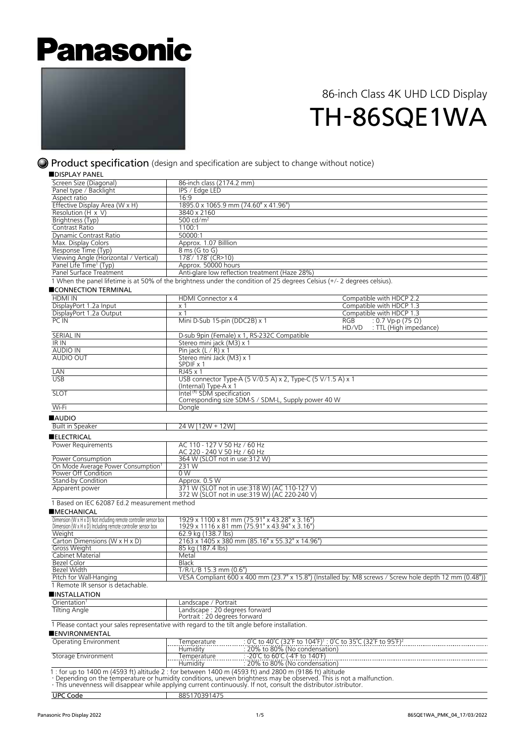# **Panasonic**



## 86-inch Class 4K UHD LCD Display TH-86SQE1WA

## Product specification (design and specification are subject to change without notice)

| <b>DISPLAY PANEL</b>                                                                                                             |                                                                                                                                                                                                                                       |                                                                                                        |
|----------------------------------------------------------------------------------------------------------------------------------|---------------------------------------------------------------------------------------------------------------------------------------------------------------------------------------------------------------------------------------|--------------------------------------------------------------------------------------------------------|
| Screen Size (Diagonal)                                                                                                           | 86-inch class (2174.2 mm)                                                                                                                                                                                                             |                                                                                                        |
| Panel type / Backlight                                                                                                           | IPS / Edge LED                                                                                                                                                                                                                        |                                                                                                        |
| Aspect ratio                                                                                                                     | 16:9                                                                                                                                                                                                                                  |                                                                                                        |
| Effective Display Area (W x H)                                                                                                   | 1895.0 x 1065.9 mm (74.60" x 41.96")                                                                                                                                                                                                  |                                                                                                        |
| Resolution (H x V)                                                                                                               | 3840 x 2160                                                                                                                                                                                                                           |                                                                                                        |
| Brightness (Typ)<br>Contrast Ratio                                                                                               | 500 $cd/m2$<br>1100:1                                                                                                                                                                                                                 |                                                                                                        |
| Dynamic Contrast Ratio                                                                                                           | 50000:1                                                                                                                                                                                                                               |                                                                                                        |
| Max. Display Colors                                                                                                              | Approx. 1.07 Billlion                                                                                                                                                                                                                 |                                                                                                        |
| Response Time (Typ)                                                                                                              | 8 ms (G to G)                                                                                                                                                                                                                         |                                                                                                        |
| Viewing Angle (Horizontal / Vertical)                                                                                            | 178°/178° (CR>10)                                                                                                                                                                                                                     |                                                                                                        |
| Panel Life Time <sup>1</sup> (Typ)                                                                                               | Approx. 50000 hours                                                                                                                                                                                                                   |                                                                                                        |
| Panel Surface Treatment                                                                                                          | Anti-glare low reflection treatment (Haze 28%)                                                                                                                                                                                        |                                                                                                        |
|                                                                                                                                  | 1 When the panel lifetime is at 50% of the brightness under the condition of 25 degrees Celsius (+/- 2 degrees celsius).                                                                                                              |                                                                                                        |
| CONNECTION TERMINAL                                                                                                              |                                                                                                                                                                                                                                       |                                                                                                        |
| <b>HDMI IN</b>                                                                                                                   | HDMI Connector x 4                                                                                                                                                                                                                    | Compatible with HDCP 2.2                                                                               |
| DisplayPort 1.2a Input                                                                                                           | x <sub>1</sub>                                                                                                                                                                                                                        | Compatible with HDCP 1.3                                                                               |
| DisplayPort 1.2a Output                                                                                                          | x <sub>1</sub>                                                                                                                                                                                                                        | Compatible with HDCP 1.3                                                                               |
| PC IN                                                                                                                            | Mini D-Sub 15-pin (DDC2B) x 1                                                                                                                                                                                                         | RGB<br>: 0.7 Vp-p (75 $\Omega$ )<br>HD/VD : TTL (High impedance)                                       |
| <b>SERIAL IN</b>                                                                                                                 | D-sub 9pin (Female) x 1, RS-232C Compatible                                                                                                                                                                                           |                                                                                                        |
| IR IN                                                                                                                            | Stereo mini jack (M3) x 1                                                                                                                                                                                                             |                                                                                                        |
| <b>AUDIO IN</b>                                                                                                                  | Pin jack $(L/R)$ x 1                                                                                                                                                                                                                  |                                                                                                        |
| <b>AUDIO OUT</b>                                                                                                                 | Stereo mini Jack (M3) x 1                                                                                                                                                                                                             |                                                                                                        |
|                                                                                                                                  | SPDIF x 1                                                                                                                                                                                                                             |                                                                                                        |
| LAN                                                                                                                              | RJ45 x 1                                                                                                                                                                                                                              |                                                                                                        |
| <b>USB</b>                                                                                                                       | USB connector Type-A (5 V/0.5 A) x 2, Type-C (5 V/1.5 A) x 1                                                                                                                                                                          |                                                                                                        |
| <b>SLOT</b>                                                                                                                      | (Internal) Type-A x 1<br>Intel <sup>(R)</sup> SDM specification                                                                                                                                                                       |                                                                                                        |
|                                                                                                                                  | Corresponding size SDM-S / SDM-L, Supply power 40 W                                                                                                                                                                                   |                                                                                                        |
| Wi-Fi                                                                                                                            | Dongle                                                                                                                                                                                                                                |                                                                                                        |
|                                                                                                                                  |                                                                                                                                                                                                                                       |                                                                                                        |
| <b>AUDIO</b>                                                                                                                     |                                                                                                                                                                                                                                       |                                                                                                        |
| <b>Built in Speaker</b>                                                                                                          | 24 W [12W + 12W]                                                                                                                                                                                                                      |                                                                                                        |
| ELECTRICAL                                                                                                                       |                                                                                                                                                                                                                                       |                                                                                                        |
| Power Requirements                                                                                                               | AC 110 - 127 V 50 Hz / 60 Hz                                                                                                                                                                                                          |                                                                                                        |
|                                                                                                                                  | AC 220 - 240 V 50 Hz / 60 Hz                                                                                                                                                                                                          |                                                                                                        |
| Power Consumption                                                                                                                | 364 W (SLOT not in use: 312 W)                                                                                                                                                                                                        |                                                                                                        |
| On Mode Average Power Consumption <sup>1</sup><br>Power Off Condition                                                            | 231W<br>0W                                                                                                                                                                                                                            |                                                                                                        |
| <b>Stand-by Condition</b>                                                                                                        | Approx. 0.5 W                                                                                                                                                                                                                         |                                                                                                        |
| Apparent power                                                                                                                   |                                                                                                                                                                                                                                       |                                                                                                        |
|                                                                                                                                  | 371 W (SLOT not in use: 318 W) (AC 110-127 V)<br>372 W (SLOT not in use: 319 W) (AC 220-240 V)                                                                                                                                        |                                                                                                        |
| 1 Based on IEC 62087 Ed.2 measurement method                                                                                     |                                                                                                                                                                                                                                       |                                                                                                        |
| <b>MECHANICAL</b>                                                                                                                |                                                                                                                                                                                                                                       |                                                                                                        |
|                                                                                                                                  | 1929 x 1100 x 81 mm (75.91" x 43.28" x 3.16")                                                                                                                                                                                         |                                                                                                        |
| Dimension (W x H x D) Not including remote controller sensor box<br>Dimension (W x H x D) Including remote controller sensor box | 1929 x 1116 x 81 mm (75.91" x 43.94" x 3.16")                                                                                                                                                                                         |                                                                                                        |
| Weight                                                                                                                           | 62.9 kg (138.7 lbs)                                                                                                                                                                                                                   |                                                                                                        |
| Carton Dimensions (W x H x D)                                                                                                    | 2163 x 1405 x 380 mm (85.16" x 55.32" x 14.96")                                                                                                                                                                                       |                                                                                                        |
| Gross Weight                                                                                                                     | 85 kg (187.4 lbs)                                                                                                                                                                                                                     |                                                                                                        |
| Cabinet Material                                                                                                                 | Metal                                                                                                                                                                                                                                 |                                                                                                        |
| <b>Bezel Color</b>                                                                                                               | <b>Black</b>                                                                                                                                                                                                                          |                                                                                                        |
| Bezel Width                                                                                                                      | $T/R/L/B$ 15.3 mm (0.6")                                                                                                                                                                                                              |                                                                                                        |
| Pitch for Wall-Hanging                                                                                                           |                                                                                                                                                                                                                                       | VESA Compliant 600 x 400 mm (23.7" x 15.8") (Installed by: M8 screws / Screw hole depth 12 mm (0.48")) |
| 1 Remote IR sensor is detachable.                                                                                                |                                                                                                                                                                                                                                       |                                                                                                        |
| <b>INSTALLATION</b>                                                                                                              |                                                                                                                                                                                                                                       |                                                                                                        |
| Orientation <sup>1</sup>                                                                                                         | Landscape / Portrait                                                                                                                                                                                                                  |                                                                                                        |
| <b>Tilting Angle</b>                                                                                                             | Landscape: 20 degrees forward                                                                                                                                                                                                         |                                                                                                        |
|                                                                                                                                  | Portrait: 20 degrees forward                                                                                                                                                                                                          |                                                                                                        |
|                                                                                                                                  | 1 Please contact your sales representative with regard to the tilt angle before installation.                                                                                                                                         |                                                                                                        |
| <b>ENVIRONMENTAL</b>                                                                                                             |                                                                                                                                                                                                                                       |                                                                                                        |
| Operating Environment                                                                                                            | Temperature                                                                                                                                                                                                                           | : 0°C to 40°C (32°F to 104°F)' : 0°C to 35°C (32°F to 95°F) <sup>2</sup>                               |
|                                                                                                                                  | Humidity                                                                                                                                                                                                                              | : 20% to 80% (No condensation)                                                                         |
| Storage Environment                                                                                                              | : -20°C to 60°C (-4°F to 140°F)<br>Temperature                                                                                                                                                                                        |                                                                                                        |
|                                                                                                                                  | Humidity<br>1 : for up to 1400 m (4593 ft) altitude 2 : for between 1400 m (4593 ft) and 2800 m (9186 ft) altitude                                                                                                                    | : 20% to 80% (No condensation)                                                                         |
|                                                                                                                                  | Depending on the temperature or humidity conditions, uneven brightness may be observed. This is not a malfunction.<br>This unevenness will disappear while applying current continuously. If not, consult the distributor istributor. |                                                                                                        |

UPC Code 885170391475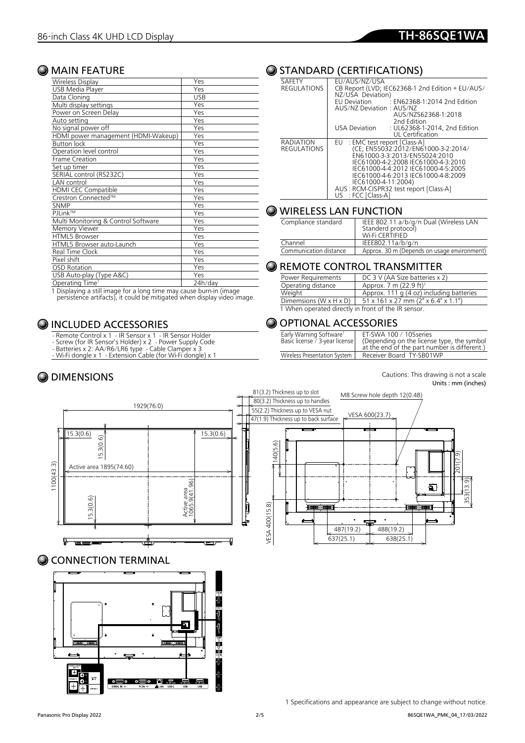#### **O** MAIN FEATURE

| Wireless Display                    | Yes        |
|-------------------------------------|------------|
| USB Media Player                    | Yes        |
| Data Cloning                        | <b>USB</b> |
| Multi display settings              | Yes        |
| Power on Screen Delay               | Yes        |
| Auto setting                        | Yes        |
| No signal power off                 | Yes        |
| HDMI power management (HDMI-Wakeup) | Yes        |
| <b>Button lock</b>                  | Yes        |
| Operation level control             | Yes        |
| Frame Creation                      | Yes        |
| Set up timer                        | Yes        |
| SERIAL control (RS232C)             | Yes        |
| <b>LAN</b> control                  | Yes        |
| HDMI CEC Compatible                 | Yes        |
| Crestron Connected™                 | Yes        |
| <b>SNMP</b>                         | Yes        |
| PJLink™                             | Yes        |
| Multi Monitoring & Control Software | Yes        |
| Memory Viewer                       | Yes        |
| HTML5 Browser                       | Yes        |
| HTML5 Browser auto-Launch           | Yes        |
| Real Time Clock                     | Yes        |
| Pixel shift                         | Yes        |
| <b>OSD Rotation</b>                 | Yes        |
| USB Auto-play (Type A&C)            | Yes        |
| Operating Time <sup>1</sup>         | 24h/day    |

1 Displaying a still image for a long time may cause burn-in (image persistence artifacts), it could be mitigated when display video image.

- Remote Control x 1 - IR Sensor x 1 - IR Sensor Holder<br>- Screw (for IR Sensor's Holder) x 2 - Power Supply Code<br>- Batteries x 2: AA/R6/LR6 type - Cable Clamper x 3<br>- Wi-Fi dongle x 1 - Extension Cable (for Wi-Fi dong

### O STANDARD (CERTIFICATIONS)

| <b>SAFETY</b><br>REGULATIONS           | EU/AUS/NZ/USA<br>CB Report (LVD; IEC62368-1 2nd Edition + EU/AUS/<br>NZ/USA Deviation)<br>EU Deviation : EN62368-1:2014 2nd Edition<br>AUS/NZ Deviation: AUS/NZ<br>AUS/NZS62368-1:2018<br>2nd Edition                                                                                                              |
|----------------------------------------|--------------------------------------------------------------------------------------------------------------------------------------------------------------------------------------------------------------------------------------------------------------------------------------------------------------------|
|                                        | USA Deviation<br>: UL62368-1-2014, 2nd Edition<br>UI Certification                                                                                                                                                                                                                                                 |
| <b>RADIATION</b><br><b>REGULATIONS</b> | EU : EMC test report [Class-A]<br>(CE; EN55032:2012/EN61000-3-2:2014/<br>FN61000-3-3:2013/FN55024:2010<br>IEC61000-4-2:2008 IEC61000-4-3:2010<br>IEC61000-4-4:2012 IEC61000-4-5:2005<br>IEC61000-4-6:2013 IEC61000-4-8:2009<br>IEC61000-4-11:2004)<br>AUS: RCM-CISPR32 test report [Class-A]<br>US : FCC [Class-A] |

#### **O WIRELESS LAN FUNCTION**

| Compliance standard    | IEEE 802.11 a/b/g/n Dual (Wireless LAN<br>Standerd protocol)<br>Wi-Fi CERTIFIED |
|------------------------|---------------------------------------------------------------------------------|
| Channel                | IEEE802.11a/b/g/n                                                               |
| Communication distance | Approx. 30 m (Depends on usage environment)                                     |

#### O REMOTE CONTROL TRANSMITTER

| Power Requirements                                  | DC 3 V (AA Size batteries x 2)                                |  |  |  |  |
|-----------------------------------------------------|---------------------------------------------------------------|--|--|--|--|
| Operating distance                                  | Approx. 7 m (22.9 ft) <sup>1</sup>                            |  |  |  |  |
| Weight                                              | Approx. 111 g (4 oz) including batteries                      |  |  |  |  |
| Dimemsions ( $W \times H \times D$ )                | $51 \times 161 \times 27$ mm ( $2" \times 6.4" \times 1.1"$ ) |  |  |  |  |
| 1 When operated directly in front of the IR sensor. |                                                               |  |  |  |  |

#### O OPTIONAL ACCESSORIES

| Early Warning Software <sup>1</sup><br>Basic license / 3-year license | ET-SWA 100 / 105 series<br>(Depending on the license type, the symbol<br>at the end of the part number is different.) |
|-----------------------------------------------------------------------|-----------------------------------------------------------------------------------------------------------------------|
| Wireless Presentation System                                          | Receiver Board TY-SB01WP                                                                                              |

**O DIMENSIONS** Cautions: This drawing is not a scale Units : mm (inches)



CONNECTION TERMINAL

O INCLUDED ACCESSORIES



1 Specifications and appearance are subject to change without notice.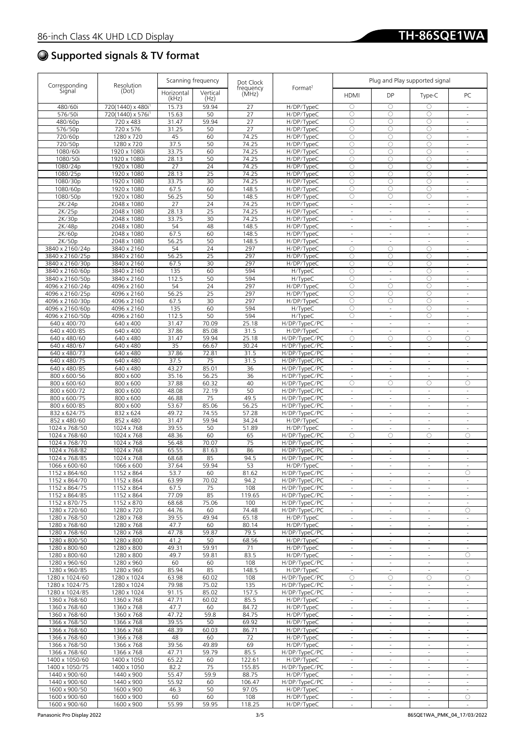## Supported signals & TV format

| Corresponding                      | Resolution                    |                     | Scanning frequency | Dot Clock                |                                |                                                      | Plug and Play supported signal             |                                                         |                                                         |  |
|------------------------------------|-------------------------------|---------------------|--------------------|--------------------------|--------------------------------|------------------------------------------------------|--------------------------------------------|---------------------------------------------------------|---------------------------------------------------------|--|
| Signal                             | (Dot)                         | Horizontal<br>(kHz) | Vertical<br>(Hz)   | frequency<br>(MHz)       | Format <sup>2</sup>            | <b>HDMI</b>                                          | DP                                         | Type-C                                                  | PC                                                      |  |
| 480/60i                            | 720(1440) x 480i <sup>1</sup> | 15.73               | 59.94              | 27                       | H/DP/TypeC                     | $\circ$                                              | O                                          | О                                                       |                                                         |  |
| 576/50i                            | 720(1440) x 576i <sup>1</sup> | 15.63               | 50                 | 27                       | H/DP/TypeC                     | $\circ$                                              | O                                          | O                                                       | $\sim$                                                  |  |
| 480/60p                            | 720 x 483                     | 31.47               | 59.94              | 27                       | H/DP/TypeC                     | $\circ$                                              | $\circlearrowright$                        | $\circ$                                                 | $\overline{\phantom{a}}$                                |  |
| 576/50p<br>720/60p                 | 720 x 576<br>1280 x 720       | 31.25<br>45         | 50<br>60           | $\overline{27}$<br>74.25 | H/DP/TypeC<br>H/DP/TypeC       | $\circ$<br>$\circ$                                   | $\circ$<br>$\circlearrowright$             | O<br>O                                                  |                                                         |  |
| 720/50p                            | 1280 x 720                    | 37.5                | 50                 | 74.25                    | H/DP/TypeC                     | $\circ$                                              | $\circ$                                    | $\circ$                                                 |                                                         |  |
| 1080/60i                           | 1920 x 1080i                  | 33.75               | 60                 | 74.25                    | H/DP/TypeC                     | $\circ$                                              | $\circ$                                    | O                                                       | ÷.                                                      |  |
| 1080/50i                           | 1920 x 1080i                  | 28.13               | 50                 | 74.25                    | H/DP/TypeC                     | O                                                    | $\circlearrowright$                        | O                                                       | $\overline{\phantom{a}}$                                |  |
| 1080/24p                           | 1920 x 1080                   | 27                  | 24                 | 74.25                    | H/DP/TypeC                     | $\circ$                                              | O                                          | O                                                       | $\overline{\phantom{a}}$                                |  |
| 1080/25p                           | 1920 x 1080                   | 28.13               | $\overline{25}$    | 74.25                    | H/DP/TypeC                     | $\bigcirc$                                           | $\circ$                                    | $\circ$                                                 | $\overline{\phantom{a}}$                                |  |
| 1080/30p                           | 1920 x 1080<br>1920 x 1080    | 33.75<br>67.5       | 30                 | 74.25                    | H/DP/TypeC                     | $\circ$<br>$\circ$                                   | $\circlearrowright$<br>О                   | O<br>О                                                  | ÷.                                                      |  |
| 1080/60p<br>1080/50p               | 1920 x 1080                   | 56.25               | 60<br>50           | 148.5<br>148.5           | H/DP/TypeC<br>H/DP/TypeC       | $\bigcirc$                                           | 0                                          | Ō                                                       | $\sim$                                                  |  |
| 2K/24p                             | 2048 x 1080                   | 27                  | 24                 | 74.25                    | H/DP/TypeC                     | $\sim$                                               | $\overline{\phantom{a}}$                   | $\overline{\phantom{a}}$                                | ÷                                                       |  |
| 2K/25p                             | 2048 x 1080                   | 28.13               | 25                 | 74.25                    | H/DP/TypeC                     | $\omega$                                             | $\omega$                                   | $\omega$                                                | $\omega$                                                |  |
| 2K/30p                             | 2048 x 1080                   | 33.75               | 30                 | 74.25                    | H/DP/TypeC                     |                                                      | $\sim$                                     |                                                         |                                                         |  |
| 2K/48p                             | 2048 x 1080                   | 54                  | 48                 | 148.5                    | H/DP/TypeC                     | $\blacksquare$                                       | $\overline{\phantom{a}}$                   | $\overline{\phantom{a}}$                                | $\overline{a}$                                          |  |
| 2K/60p                             | 2048 x 1080<br>2048 x 1080    | 67.5                | 60<br>50           | 148.5<br>148.5           | H/DP/TypeC<br>H/DP/TypeC       | $\omega$<br>$\sim$                                   | $\sim$<br>$\sim$                           | $\mathcal{L}_{\mathcal{A}}$<br>$\sim$                   | ÷,<br>$\overline{\phantom{a}}$                          |  |
| 2K/50p<br>3840 x 2160/24p          | 3840 x 2160                   | 56.25<br>54         | 24                 | 297                      | H/DP/TypeC                     | $\circ$                                              | $\circ$                                    | O                                                       | $\overline{\phantom{a}}$                                |  |
| 3840 x 2160/25p                    | 3840 x 2160                   | 56.25               | 25                 | 297                      | H/DP/TypeC                     | $\bigcirc$                                           | $\circ$                                    | O                                                       |                                                         |  |
| 3840 x 2160/30p                    | 3840 x 2160                   | 67.5                | 30                 | 297                      | H/DP/TypeC                     | $\circ$                                              | $\circ$                                    | O                                                       | ÷                                                       |  |
| 3840 x 2160/60p                    | 3840 x 2160                   | 135                 | 60                 | 594                      | H/TypeC                        | $\circ$                                              | $\sim$                                     | $\circ$                                                 | ÷.                                                      |  |
| 3840 x 2160/50p                    | 3840 x 2160                   | 112.5               | 50                 | 594                      | H/TypeC                        | $\circ$                                              | $\sim$                                     | O                                                       | ÷,                                                      |  |
| 4096 x 2160/24p                    | 4096 x 2160                   | 54                  | 24                 | 297                      | H/DP/TypeC                     | O                                                    | $\circ$                                    | O                                                       | $\overline{\phantom{a}}$                                |  |
| 4096 x 2160/25p<br>4096 x 2160/30p | 4096 x 2160<br>4096 x 2160    | 56.25<br>67.5       | 25<br>30           | 297<br>297               | H/DP/TypeC<br>H/DP/TypeC       | $\circ$<br>$\circ$                                   | $\circlearrowright$<br>$\circ$             | O<br>$\circ$                                            | $\overline{\phantom{a}}$<br>$\overline{a}$              |  |
| 4096 x 2160/60p                    | 4096 x 2160                   | 135                 | 60                 | 594                      | H/TypeC                        | $\circ$                                              | $\omega$                                   | O                                                       |                                                         |  |
| 4096 x 2160/50p                    | 4096 x 2160                   | 112.5               | 50                 | 594                      | H/TypeC                        | $\circ$                                              | ÷                                          | O                                                       | ÷,                                                      |  |
| 640 x 400/70                       | 640 x 400                     | 31.47               | 70.09              | 25.18                    | H/DP/TypeC/PC                  | $\omega$                                             | ÷.                                         | $\omega$                                                | ÷,                                                      |  |
| 640 x 400/85                       | 640 x 400                     | 37.86               | 85.08              | 31.5                     | H/DP/TypeC                     | $\overline{\phantom{a}}$                             | $\sim$                                     | $\sim$                                                  | $\overline{\phantom{a}}$                                |  |
| 640 x 480/60                       | 640 x 480                     | 31.47               | 59.94              | 25.18                    | H/DP/TypeC/PC                  | $\circ$                                              | $\circ$                                    | $\circ$                                                 | $\circ$                                                 |  |
| 640 x 480/67<br>640 x 480/73       | 640 x 480<br>640 x 480        | 35<br>37.86         | 66.67<br>72.81     | 30.24<br>31.5            | H/DP/TypeC/PC<br>H/DP/TypeC/PC | $\overline{\phantom{a}}$<br>$\overline{\phantom{a}}$ | $\overline{\phantom{a}}$<br>$\blacksquare$ | $\sim$<br>$\overline{\phantom{a}}$                      | $\overline{a}$                                          |  |
| 640 x 480/75                       | 640 x 480                     | 37.5                | 75                 | 31.5                     | H/DP/TypeC/PC                  | $\omega$                                             | $\omega$                                   | $\sim$                                                  | $\mathcal{L}$                                           |  |
| 640 x 480/85                       | 640 x 480                     | 43.27               | 85.01              | 36                       | H/DP/TypeC/PC                  | $\overline{\phantom{a}}$                             | $\sim$                                     | $\sim$                                                  | $\overline{\phantom{a}}$                                |  |
| 800 x 600/56                       | 800 x 600                     | 35.16               | 56.25              | 36                       | H/DP/TypeC/PC                  | $\omega$                                             | $\omega$                                   | $\mathcal{L}_{\mathcal{A}}$                             | $\mathcal{L}_{\mathcal{A}}$                             |  |
| 800 x 600/60                       | 800 x 600                     | 37.88               | 60.32              | 40                       | H/DP/TypeC/PC                  | O                                                    | $\circlearrowright$                        | O                                                       | $\circ$                                                 |  |
| 800 x 600/72                       | 800 x 600                     | 48.08               | 72.19              | 50                       | H/DP/TypeC/PC                  | $\overline{\phantom{a}}$                             | $\sim$                                     | $\overline{\phantom{a}}$                                |                                                         |  |
| 800 x 600/75                       | 800 x 600                     | 46.88               | 75                 | 49.5                     | H/DP/TypeC/PC                  | $\mathcal{L}$                                        | $\sim$                                     | $\mathcal{L}$                                           | $\sim$                                                  |  |
| 800 x 600/85<br>832 x 624/75       | 800 x 600<br>832 x 624        | 53.67<br>49.72      | 85.06<br>74.55     | 56.25<br>57.28           | H/DP/TypeC/PC<br>H/DP/TypeC/PC | $\overline{\phantom{a}}$<br>$\sim$                   | $\overline{\phantom{a}}$<br>$\sim$         | $\sim$<br>$\sim$                                        | $\overline{a}$<br>$\overline{a}$                        |  |
| 852 x 480/60                       | 852 x 480                     | 31.47               | 59.94              | 34.24                    | H/DP/TypeC                     | ٠                                                    | $\sim$                                     | $\sim$                                                  | $\overline{a}$                                          |  |
| 1024 x 768/50                      | 1024 x 768                    | 39.55               | 50                 | 51.89                    | H/DP/TypeC                     | $\bar{\phantom{a}}$                                  | $\sim$                                     | $\mathcal{L}_{\mathcal{A}}$                             | $\overline{a}$                                          |  |
| $1024 \times 768/60$               | 1024 x 768                    | 48.36               | 60                 | 65                       | H/DP/TypeC/PC                  | $\circ$                                              | $\circlearrowright$                        | O                                                       | $\circ$                                                 |  |
| 1024 x 768/70                      | 1024 x 768                    | 56.48               | 70.07              | 75                       | H/DP/TypeC/PC                  | $\sim$                                               | ÷                                          | $\mathcal{L}_{\mathcal{A}}$                             | ÷,                                                      |  |
| 1024 x 768/82                      | 1024 x 768                    | 65.55               | 81.63              | 86                       | H/DP/TypeC/PC                  | $\mathcal{L}_{\mathcal{A}}$                          | ÷.                                         | $\sim$                                                  | $\sim$                                                  |  |
| 1024 x 768/85<br>1066 x 600/60     | 1024 x 768<br>1066 x 600      | 68.68<br>37.64      | 85<br>59.94        | 94.5<br>53               | H/DP/TypeC/PC<br>H/DP/TypeC    | $\sim$<br>$\sim$                                     | $\sim$<br>$\sim$                           | $\overline{\phantom{a}}$<br>$\sim$                      | $\overline{\phantom{a}}$<br>$\mathcal{L}_{\mathcal{A}}$ |  |
| 1152 x 864/60                      | 1152 x 864                    | 53.7                | 60                 | 81.62                    | H/DP/TypeC/PC                  |                                                      |                                            |                                                         |                                                         |  |
| 1152 x 864/70                      | 1152 x 864                    | 63.99               | 70.02              | 94.2                     | H/DP/TypeC/PC                  |                                                      | $\sim$                                     |                                                         |                                                         |  |
| 1152 x 864/75                      | 1152 x 864                    | 67.5                | 75                 | 108                      | H/DP/TypeC/PC                  | $\mathcal{L}_{\mathcal{A}}$                          | $\mathcal{L}$                              | $\omega$                                                |                                                         |  |
| 1152 x 864/85                      | 1152 x 864                    | 77.09               | 85                 | 119.65                   | H/DP/TypeC/PC                  |                                                      |                                            | $\sim$                                                  |                                                         |  |
| 1152 x 870/75                      | 1152 x 870                    | 68.68               | 75.06              | 100                      | H/DP/TypeC/PC                  | $\omega$                                             | $\sim$                                     | $\omega$                                                | $\overline{\phantom{a}}$                                |  |
| 1280 x 720/60                      | 1280 x 720                    | 44.76               | 60<br>49.94        | 74.48                    | H/DP/TypeC/PC                  | $\sim$                                               |                                            | $\sim$                                                  | $\circ$                                                 |  |
| 1280 x 768/50<br>1280 x 768/60     | 1280 x 768<br>1280 x 768      | 39.55<br>47.7       | 60                 | 65.18<br>80.14           | H/DP/TypeC<br>H/DP/TypeC       | $\overline{\phantom{a}}$<br>$\overline{\phantom{a}}$ | $\omega$                                   | $\overline{\phantom{a}}$<br>$\mathcal{L}_{\mathcal{A}}$ |                                                         |  |
| 1280 x 768/60                      | 1280 x 768                    | 47.78               | 59.87              | 79.5                     | H/DP/TypeC/PC                  | $\overline{\phantom{a}}$                             | $\sim$                                     | $\sim$                                                  |                                                         |  |
| 1280 x 800/50                      | 1280 x 800                    | 41.2                | 50                 | 68.56                    | H/DP/TypeC                     |                                                      | $\sim$                                     | $\sim$                                                  |                                                         |  |
| 1280 x 800/60                      | 1280 x 800                    | 49.31               | 59.91              | 71                       | H/DP/TypeC                     | $\mathcal{L}_{\mathcal{A}}$                          | $\sim$                                     | $\sim$                                                  | $\sim$                                                  |  |
| 1280 x 800/60                      | 1280 x 800                    | 49.7                | 59.81              | 83.5                     | H/DP/TypeC                     | $\sim$                                               | $\sim$                                     | $\mathcal{L}_{\mathcal{A}}$                             | 0                                                       |  |
| 1280 x 960/60                      | 1280 x 960                    | 60                  | 60                 | 108                      | H/DP/TypeC/PC                  |                                                      |                                            |                                                         |                                                         |  |
| 1280 x 960/85<br>1280 x 1024/60    | 1280 x 960<br>1280 x 1024     | 85.94<br>63.98      | 85<br>60.02        | 148.5<br>108             | H/DP/TypeC<br>H/DP/TypeC/PC    | $\sim$<br>$\circ$                                    | ÷.<br>$\circ$                              | $\mathcal{L}_{\mathcal{A}}$<br>$\circ$                  | 0                                                       |  |
| 1280 x 1024/75                     | 1280 x 1024                   | 79.98               | 75.02              | 135                      | H/DP/TypeC/PC                  | $\overline{\phantom{a}}$                             | $\overline{\phantom{a}}$                   | $\overline{\phantom{a}}$                                |                                                         |  |
| 1280 x 1024/85                     | 1280 x 1024                   | 91.15               | 85.02              | 157.5                    | H/DP/TypeC/PC                  | $\mathcal{L}_{\mathcal{A}}$                          | $\mathbb{Z}^+$                             | $\mathcal{L}_{\mathcal{A}}$                             | $\mathcal{L}_{\mathcal{A}}$                             |  |
| 1360 x 768/60                      | 1360 x 768                    | 47.71               | 60.02              | 85.5                     | H/DP/TypeC                     |                                                      |                                            |                                                         |                                                         |  |
| 1360 x 768/60                      | 1360 x 768                    | 47.7                | 60                 | 84.72                    | H/DP/TypeC                     | $\overline{\phantom{a}}$                             | $\overline{\phantom{a}}$                   | $\mathcal{L}_{\mathcal{A}}$                             |                                                         |  |
| 1360 x 768/60                      | 1360 x 768                    | 47.72               | 59.8               | 84.75                    | H/DP/TypeC                     | $\omega$                                             | $\mathcal{L}$                              | $\omega$                                                |                                                         |  |
| 1366 x 768/50<br>1366 x 768/60     | 1366 x 768<br>1366 x 768      | 39.55<br>48.39      | 50<br>60.03        | 69.92                    | H/DP/TypeC<br>H/DP/TypeC       | $\sim$<br>$\mathcal{L}_{\mathcal{A}}$                | $\sim$<br>$\omega$                         | $\sim$<br>$\mathcal{L}_{\mathcal{A}}$                   | $\sim$                                                  |  |
| 1366 x 768/60                      | 1366 x 768                    | 48                  | 60                 | 86.71<br>72              | H/DP/TypeC                     | $\overline{\phantom{a}}$                             |                                            |                                                         |                                                         |  |
| 1366 x 768/50                      | 1366 x 768                    | 39.56               | 49.89              | 69                       | H/DP/TypeC                     | $\overline{\phantom{a}}$                             |                                            | $\sim$                                                  |                                                         |  |
| 1366 x 768/60                      | 1366 x 768                    | 47.71               | 59.79              | 85.5                     | H/DP/TypeC/PC                  | $\overline{\phantom{a}}$                             | $\sim$                                     | $\mathcal{L}_{\mathcal{A}}$                             |                                                         |  |
| 1400 x 1050/60                     | 1400 x 1050                   | 65.22               | 60                 | 122.61                   | H/DP/TypeC                     | $\overline{\phantom{a}}$                             | $\sim$                                     | $\omega$                                                |                                                         |  |
| 1400 x 1050/75                     | 1400 x 1050                   | 82.2                | 75                 | 155.85                   | H/DP/TypeC/PC                  | $\overline{\phantom{a}}$                             | $\sim$                                     | $\sim$                                                  | $\sim$                                                  |  |
| 1440 x 900/60                      | 1440 x 900                    | 55.47               | 59.9               | 88.75                    | H/DP/TypeC                     | $\sim$                                               | $\sim$                                     | $\sim$                                                  | $\overline{\phantom{a}}$                                |  |
| 1440 x 900/60<br>1600 x 900/50     | 1440 x 900<br>1600 x 900      | 55.92<br>46.3       | 60<br>50           | 106.47<br>97.05          | H/DP/TypeC/PC<br>H/DP/TypeC    | $\overline{\phantom{a}}$                             | $\sim$                                     | $\mathcal{L}_{\mathcal{A}}$                             | $\overline{\phantom{a}}$                                |  |
| 1600 x 900/60                      | 1600 x 900                    | 60                  | 60                 | 108                      | H/DP/TypeC                     | $\overline{\phantom{a}}$                             | $\sim$                                     | $\sim$                                                  | О                                                       |  |
| 1600 x 900/60                      | 1600 x 900                    | 55.99               | 59.95              | 118.25                   | H/DP/TypeC                     |                                                      | $\mathcal{L}_{\mathcal{A}}$                | $\mathcal{L}_{\mathcal{A}}$                             |                                                         |  |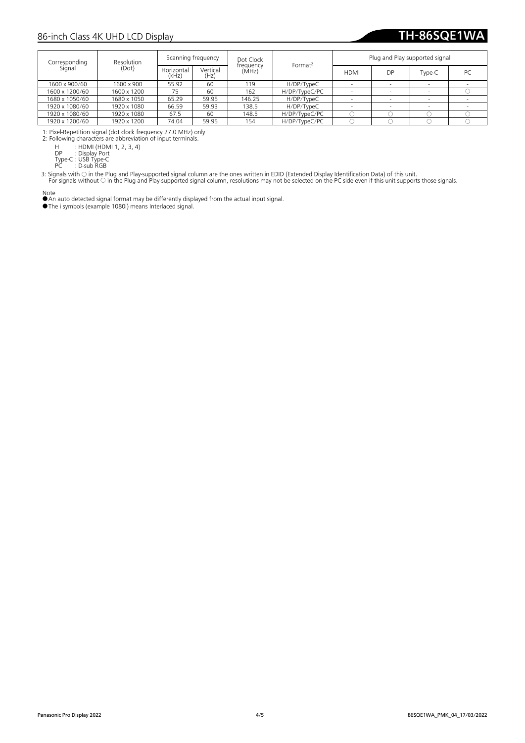| Corresponding<br>Signal | Resolution<br>(Dot) | Scanning frequency  |                  | Dot Clock          | Format <sup>2</sup> | Plug and Play supported signal |    |        |    |
|-------------------------|---------------------|---------------------|------------------|--------------------|---------------------|--------------------------------|----|--------|----|
|                         |                     | Horizontal<br>(kHz) | Vertical<br>(Hz) | frequency<br>(MHz) |                     | <b>HDMI</b>                    | DP | Type-C | PC |
| 1600 x 900/60           | 1600 x 900          | 55.92               | 60               | 119                | H/DP/TypeC          |                                |    |        |    |
| 1600 x 1200/60          | 1600 x 1200         | 75                  | 60               | 162                | H/DP/TypeC/PC       |                                |    |        |    |
| 1680 x 1050/60          | 1680 x 1050         | 65.29               | 59.95            | 146.25             | H/DP/TypeC          |                                |    |        |    |
| 1920 x 1080/60          | 1920 x 1080         | 66.59               | 59.93            | 138.5              | H/DP/TypeC          |                                |    |        |    |
| 1920 x 1080/60          | 1920 x 1080         | 67.5                | 60               | 148.5              | H/DP/TypeC/PC       |                                |    |        |    |
| 1920 x 1200/60          | 1920 x 1200         | 74.04               | 59.95            | 154                | H/DP/TypeC/PC       |                                |    |        |    |

1: Pixel-Repetition signal (dot clock frequency 27.0 MHz) only 2: Following characters are abbreviation of input terminals.

H : HDMI (HDMI 1, 2, 3, 4)<br>DP : Display Port<br>Type-C : USB Type-C<br>PC : D-sub RGB

3: Signals with ○ in the Plug and Play-supported signal column are the ones written in EDID (Extended Display Identification Data) of this unit.<br>For signals without ○ in the Plug and Play-supported signal column, resoluti

Note ●An auto detected signal format may be differently displayed from the actual input signal.

●The i symbols (example 1080i) means Interlaced signal.